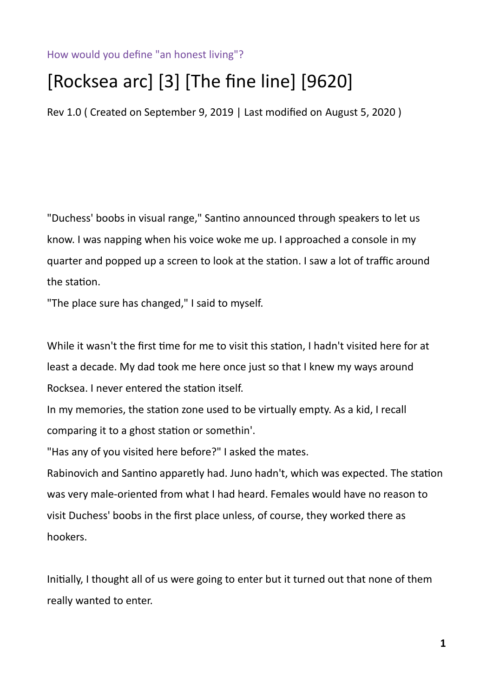How would you define "an honest living"?

## [Rocksea arc] [3] [The fine line] [9620]

Rev 1.0 ( Created on September 9, 2019 | Last modified on August 5, 2020 )

"Duchess' boobs in visual range," Santino announced through speakers to let us know. I was napping when his voice woke me up. I approached a console in my quarter and popped up a screen to look at the station. I saw a lot of traffic around the station.

"The place sure has changed," I said to myself.

While it wasn't the first time for me to visit this station, I hadn't visited here for at least a decade. My dad took me here once just so that I knew my ways around Rocksea. I never entered the station itself.

In my memories, the station zone used to be virtually empty. As a kid, I recall comparing it to a ghost station or somethin'.

"Has any of you visited here before?" I asked the mates.

Rabinovich and Santino apparetly had. Juno hadn't, which was expected. The station was very male-oriented from what I had heard. Females would have no reason to visit Duchess' boobs in the first place unless, of course, they worked there as hookers.

Initially, I thought all of us were going to enter but it turned out that none of them really wanted to enter.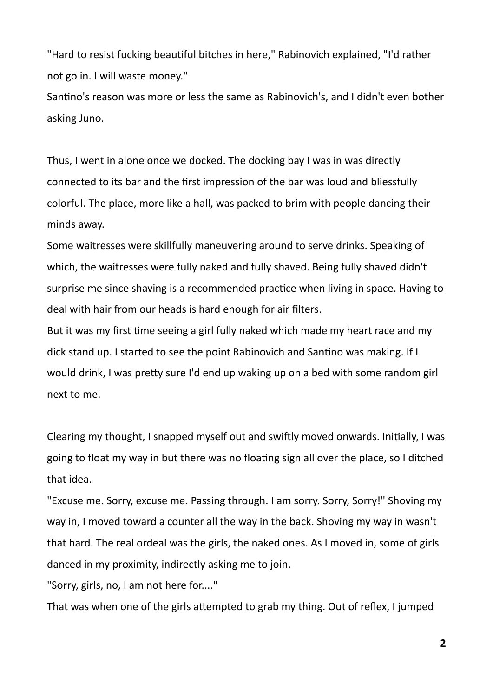"Hard to resist fucking beautiful bitches in here," Rabinovich explained, "I'd rather not go in. I will waste money."

Santino's reason was more or less the same as Rabinovich's, and I didn't even bother asking Juno.

Thus, I went in alone once we docked. The docking bay I was in was directly connected to its bar and the first impression of the bar was loud and bliessfully colorful. The place, more like a hall, was packed to brim with people dancing their minds away.

Some waitresses were skillfully maneuvering around to serve drinks. Speaking of which, the waitresses were fully naked and fully shaved. Being fully shaved didn't surprise me since shaving is a recommended practice when living in space. Having to deal with hair from our heads is hard enough for air filters.

But it was my first time seeing a girl fully naked which made my heart race and my dick stand up. I started to see the point Rabinovich and Santino was making. If I would drink, I was pretty sure I'd end up waking up on a bed with some random girl next to me.

Clearing my thought, I snapped myself out and swiftly moved onwards. Initially, I was going to float my way in but there was no floating sign all over the place, so I ditched that idea.

"Excuse me. Sorry, excuse me. Passing through. I am sorry. Sorry, Sorry!" Shoving my way in, I moved toward a counter all the way in the back. Shoving my way in wasn't that hard. The real ordeal was the girls, the naked ones. As I moved in, some of girls danced in my proximity, indirectly asking me to join.

"Sorry, girls, no, I am not here for...."

That was when one of the girls attempted to grab my thing. Out of reflex, I jumped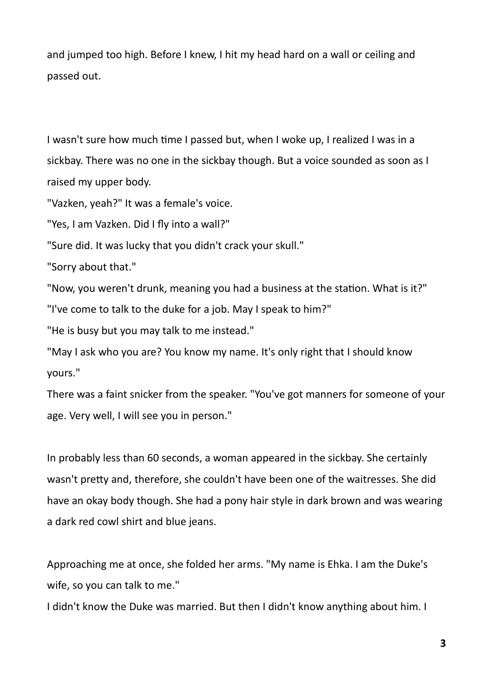and jumped too high. Before I knew, I hit my head hard on a wall or ceiling and passed out.

I wasn't sure how much time I passed but, when I woke up, I realized I was in a sickbay. There was no one in the sickbay though. But a voice sounded as soon as I raised my upper body.

"Vazken, yeah?" It was a female's voice.

"Yes, I am Vazken. Did I fly into a wall?"

"Sure did. It was lucky that you didn't crack your skull."

"Sorry about that."

"Now, you weren't drunk, meaning you had a business at the station. What is it?"

"I've come to talk to the duke for a job. May I speak to him?"

"He is busy but you may talk to me instead."

"May I ask who you are? You know my name. It's only right that I should know yours."

There was a faint snicker from the speaker. "You've got manners for someone of your age. Very well, I will see you in person."

In probably less than 60 seconds, a woman appeared in the sickbay. She certainly wasn't pretty and, therefore, she couldn't have been one of the waitresses. She did have an okay body though. She had a pony hair style in dark brown and was wearing a dark red cowl shirt and blue jeans.

Approaching me at once, she folded her arms. "My name is Ehka. I am the Duke's wife, so you can talk to me."

I didn't know the Duke was married. But then I didn't know anything about him. I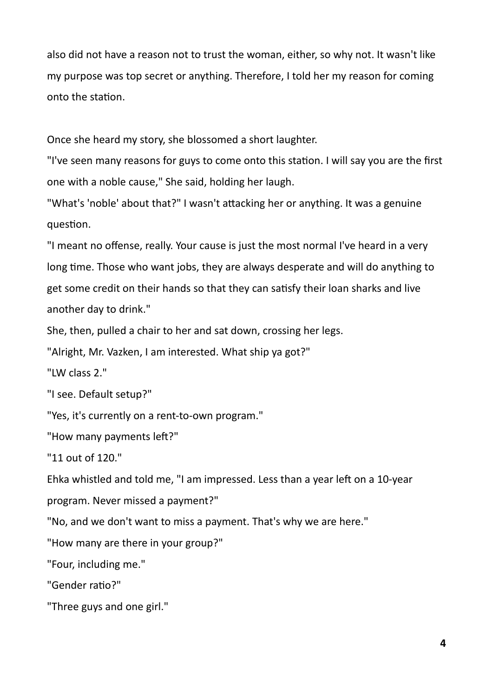also did not have a reason not to trust the woman, either, so why not. It wasn't like my purpose was top secret or anything. Therefore, I told her my reason for coming onto the station.

Once she heard my story, she blossomed a short laughter.

"I've seen many reasons for guys to come onto this station. I will say you are the first one with a noble cause," She said, holding her laugh.

"What's 'noble' about that?" I wasn't attacking her or anything. It was a genuine question.

"I meant no offense, really. Your cause is just the most normal I've heard in a very long time. Those who want jobs, they are always desperate and will do anything to get some credit on their hands so that they can satisfy their loan sharks and live another day to drink."

She, then, pulled a chair to her and sat down, crossing her legs.

"Alright, Mr. Vazken, I am interested. What ship ya got?"

"LW class 2."

"I see. Default setup?"

"Yes, it's currently on a rent-to-own program."

"How many payments left?"

"11 out of 120."

Ehka whistled and told me, "I am impressed. Less than a year left on a 10-year program. Never missed a payment?"

"No, and we don't want to miss a payment. That's why we are here."

"How many are there in your group?"

"Four, including me."

"Gender ratio?"

"Three guys and one girl."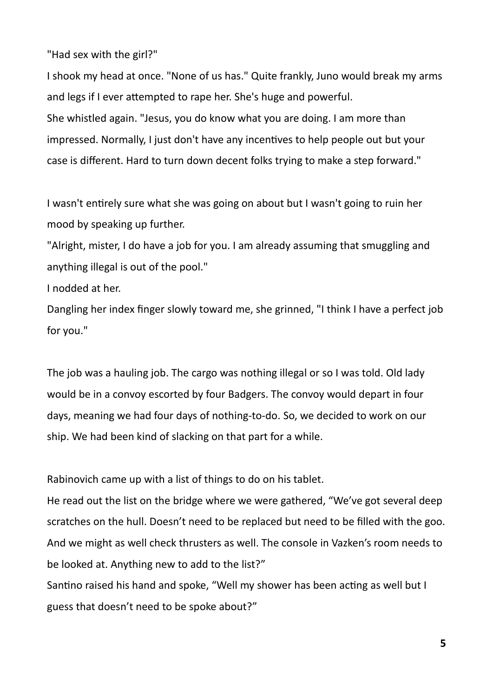"Had sex with the girl?"

I shook my head at once. "None of us has." Quite frankly, Juno would break my arms and legs if I ever attempted to rape her. She's huge and powerful. She whistled again. "Jesus, you do know what you are doing. I am more than impressed. Normally, I just don't have any incentives to help people out but your case is different. Hard to turn down decent folks trying to make a step forward."

I wasn't entirely sure what she was going on about but I wasn't going to ruin her mood by speaking up further.

"Alright, mister, I do have a job for you. I am already assuming that smuggling and anything illegal is out of the pool."

I nodded at her.

Dangling her index finger slowly toward me, she grinned, "I think I have a perfect job for you."

The job was a hauling job. The cargo was nothing illegal or so I was told. Old lady would be in a convoy escorted by four Badgers. The convoy would depart in four days, meaning we had four days of nothing-to-do. So, we decided to work on our ship. We had been kind of slacking on that part for a while.

Rabinovich came up with a list of things to do on his tablet.

He read out the list on the bridge where we were gathered, "We've got several deep scratches on the hull. Doesn't need to be replaced but need to be filled with the goo. And we might as well check thrusters as well. The console in Vazken's room needs to be looked at. Anything new to add to the list?"

Santino raised his hand and spoke, "Well my shower has been acting as well but I guess that doesn't need to be spoke about?"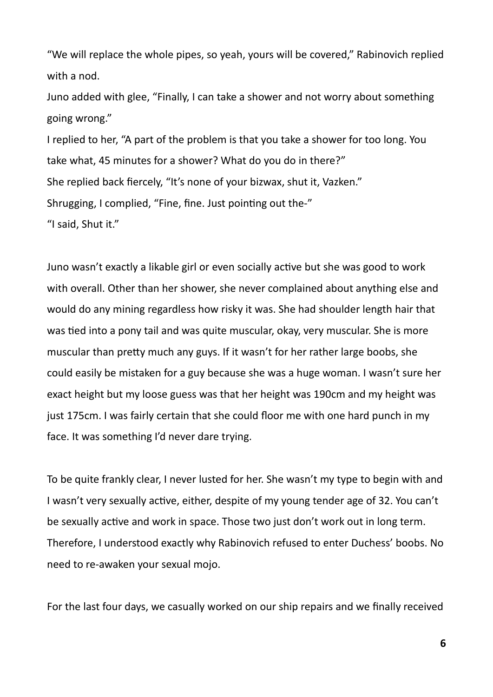"We will replace the whole pipes, so yeah, yours will be covered," Rabinovich replied with a nod.

Juno added with glee, "Finally, I can take a shower and not worry about something going wrong."

I replied to her, "A part of the problem is that you take a shower for too long. You take what, 45 minutes for a shower? What do you do in there?" She replied back fiercely, "It's none of your bizwax, shut it, Vazken." Shrugging, I complied, "Fine, fine. Just pointing out the-" "I said, Shut it."

Juno wasn't exactly a likable girl or even socially active but she was good to work with overall. Other than her shower, she never complained about anything else and would do any mining regardless how risky it was. She had shoulder length hair that was tied into a pony tail and was quite muscular, okay, very muscular. She is more muscular than pretty much any guys. If it wasn't for her rather large boobs, she could easily be mistaken for a guy because she was a huge woman. I wasn't sure her exact height but my loose guess was that her height was 190cm and my height was just 175cm. I was fairly certain that she could floor me with one hard punch in my face. It was something I'd never dare trying.

To be quite frankly clear, I never lusted for her. She wasn't my type to begin with and I wasn't very sexually active, either, despite of my young tender age of 32. You can't be sexually active and work in space. Those two just don't work out in long term. Therefore, I understood exactly why Rabinovich refused to enter Duchess' boobs. No need to re-awaken your sexual mojo.

For the last four days, we casually worked on our ship repairs and we finally received

**6**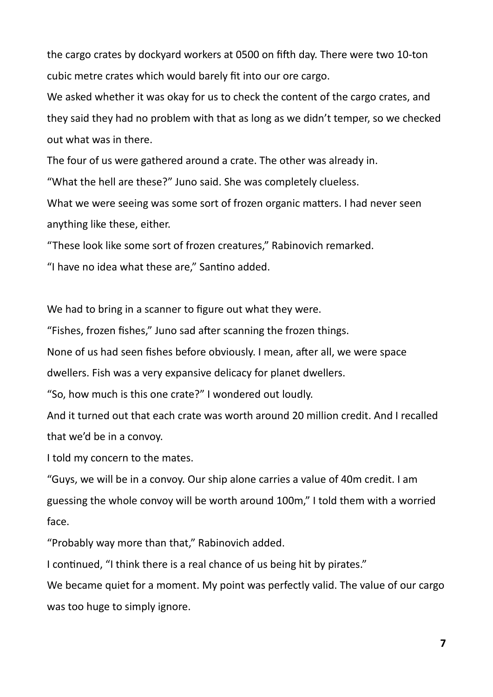the cargo crates by dockyard workers at 0500 on fifth day. There were two 10-ton cubic metre crates which would barely fit into our ore cargo.

We asked whether it was okay for us to check the content of the cargo crates, and they said they had no problem with that as long as we didn't temper, so we checked out what was in there.

The four of us were gathered around a crate. The other was already in.

"What the hell are these?" Juno said. She was completely clueless.

What we were seeing was some sort of frozen organic matters. I had never seen anything like these, either.

"These look like some sort of frozen creatures," Rabinovich remarked.

"I have no idea what these are," Santino added.

We had to bring in a scanner to figure out what they were.

"Fishes, frozen fishes," Juno sad after scanning the frozen things.

None of us had seen fishes before obviously. I mean, after all, we were space

dwellers. Fish was a very expansive delicacy for planet dwellers.

"So, how much is this one crate?" I wondered out loudly.

And it turned out that each crate was worth around 20 million credit. And I recalled that we'd be in a convoy.

I told my concern to the mates.

"Guys, we will be in a convoy. Our ship alone carries a value of 40m credit. I am guessing the whole convoy will be worth around 100m," I told them with a worried face.

"Probably way more than that," Rabinovich added.

I continued, "I think there is a real chance of us being hit by pirates."

We became quiet for a moment. My point was perfectly valid. The value of our cargo was too huge to simply ignore.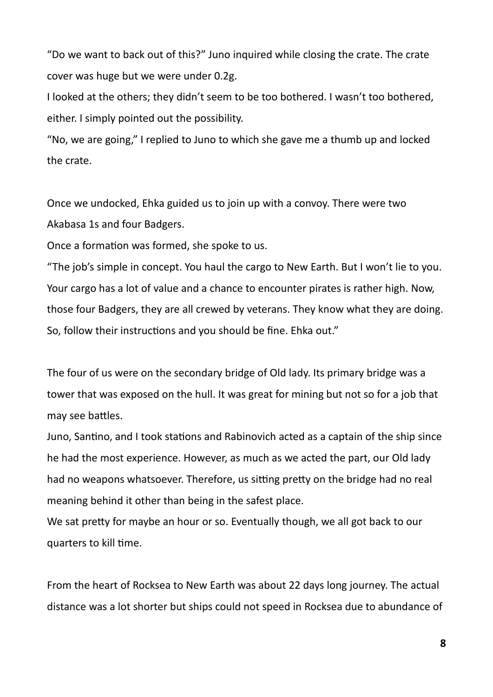"Do we want to back out of this?" Juno inquired while closing the crate. The crate cover was huge but we were under 0.2g.

I looked at the others; they didn't seem to be too bothered. I wasn't too bothered, either. I simply pointed out the possibility.

"No, we are going," I replied to Juno to which she gave me a thumb up and locked the crate.

Once we undocked, Ehka guided us to join up with a convoy. There were two Akabasa 1s and four Badgers.

Once a formation was formed, she spoke to us.

"The job's simple in concept. You haul the cargo to New Earth. But I won't lie to you. Your cargo has a lot of value and a chance to encounter pirates is rather high. Now, those four Badgers, they are all crewed by veterans. They know what they are doing. So, follow their instructions and you should be fine. Ehka out."

The four of us were on the secondary bridge of Old lady. Its primary bridge was a tower that was exposed on the hull. It was great for mining but not so for a job that may see battles.

Juno, Santino, and I took stations and Rabinovich acted as a captain of the ship since he had the most experience. However, as much as we acted the part, our Old lady had no weapons whatsoever. Therefore, us sitting pretty on the bridge had no real meaning behind it other than being in the safest place.

We sat pretty for maybe an hour or so. Eventually though, we all got back to our quarters to kill time.

From the heart of Rocksea to New Earth was about 22 days long journey. The actual distance was a lot shorter but ships could not speed in Rocksea due to abundance of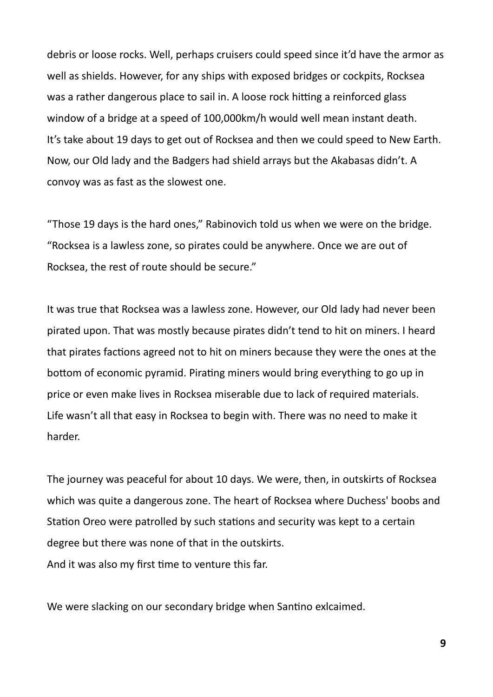debris or loose rocks. Well, perhaps cruisers could speed since it'd have the armor as well as shields. However, for any ships with exposed bridges or cockpits, Rocksea was a rather dangerous place to sail in. A loose rock hitting a reinforced glass window of a bridge at a speed of 100,000km/h would well mean instant death. It's take about 19 days to get out of Rocksea and then we could speed to New Earth. Now, our Old lady and the Badgers had shield arrays but the Akabasas didn't. A convoy was as fast as the slowest one.

"Those 19 days is the hard ones," Rabinovich told us when we were on the bridge. "Rocksea is a lawless zone, so pirates could be anywhere. Once we are out of Rocksea, the rest of route should be secure."

It was true that Rocksea was a lawless zone. However, our Old lady had never been pirated upon. That was mostly because pirates didn't tend to hit on miners. I heard that pirates factions agreed not to hit on miners because they were the ones at the bottom of economic pyramid. Pirating miners would bring everything to go up in price or even make lives in Rocksea miserable due to lack of required materials. Life wasn't all that easy in Rocksea to begin with. There was no need to make it harder.

The journey was peaceful for about 10 days. We were, then, in outskirts of Rocksea which was quite a dangerous zone. The heart of Rocksea where Duchess' boobs and Station Oreo were patrolled by such stations and security was kept to a certain degree but there was none of that in the outskirts. And it was also my first time to venture this far.

We were slacking on our secondary bridge when Santino exlcaimed.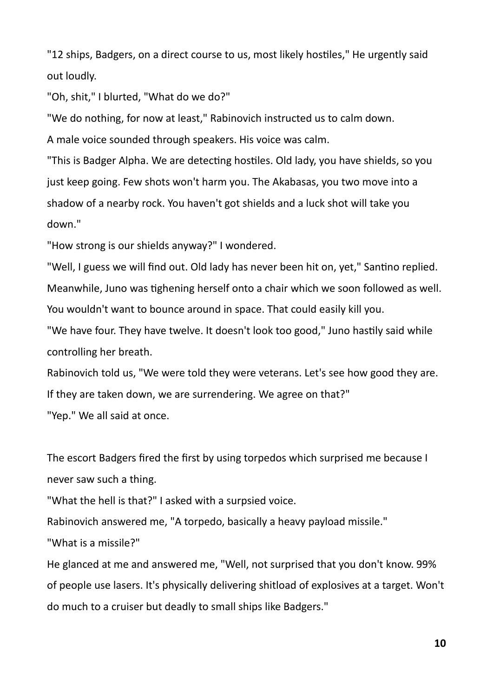"12 ships, Badgers, on a direct course to us, most likely hostiles," He urgently said out loudly.

"Oh, shit," I blurted, "What do we do?"

"We do nothing, for now at least," Rabinovich instructed us to calm down.

A male voice sounded through speakers. His voice was calm.

"This is Badger Alpha. We are detecting hostiles. Old lady, you have shields, so you just keep going. Few shots won't harm you. The Akabasas, you two move into a shadow of a nearby rock. You haven't got shields and a luck shot will take you down."

"How strong is our shields anyway?" I wondered.

"Well, I guess we will find out. Old lady has never been hit on, yet," Santino replied. Meanwhile, Juno was tighening herself onto a chair which we soon followed as well. You wouldn't want to bounce around in space. That could easily kill you.

"We have four. They have twelve. It doesn't look too good," Juno hastily said while controlling her breath.

Rabinovich told us, "We were told they were veterans. Let's see how good they are. If they are taken down, we are surrendering. We agree on that?" "Yep." We all said at once.

The escort Badgers fired the first by using torpedos which surprised me because I never saw such a thing.

"What the hell is that?" I asked with a surpsied voice.

Rabinovich answered me, "A torpedo, basically a heavy payload missile."

"What is a missile?"

He glanced at me and answered me, "Well, not surprised that you don't know. 99% of people use lasers. It's physically delivering shitload of explosives at a target. Won't do much to a cruiser but deadly to small ships like Badgers."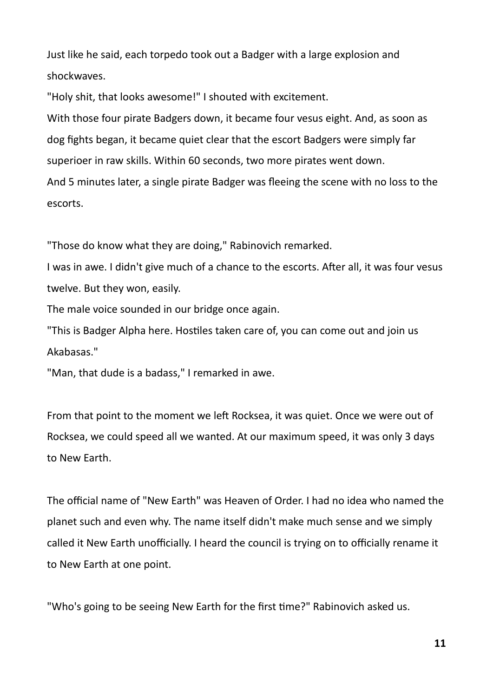Just like he said, each torpedo took out a Badger with a large explosion and shockwaves.

"Holy shit, that looks awesome!" I shouted with excitement.

With those four pirate Badgers down, it became four vesus eight. And, as soon as dog fights began, it became quiet clear that the escort Badgers were simply far superioer in raw skills. Within 60 seconds, two more pirates went down. And 5 minutes later, a single pirate Badger was fleeing the scene with no loss to the escorts.

"Those do know what they are doing," Rabinovich remarked.

I was in awe. I didn't give much of a chance to the escorts. After all, it was four vesus twelve. But they won, easily.

The male voice sounded in our bridge once again.

"This is Badger Alpha here. Hostiles taken care of, you can come out and join us Akabasas."

"Man, that dude is a badass," I remarked in awe.

From that point to the moment we left Rocksea, it was quiet. Once we were out of Rocksea, we could speed all we wanted. At our maximum speed, it was only 3 days to New Earth.

The official name of "New Earth" was Heaven of Order. I had no idea who named the planet such and even why. The name itself didn't make much sense and we simply called it New Earth unofficially. I heard the council is trying on to officially rename it to New Earth at one point.

"Who's going to be seeing New Earth for the first time?" Rabinovich asked us.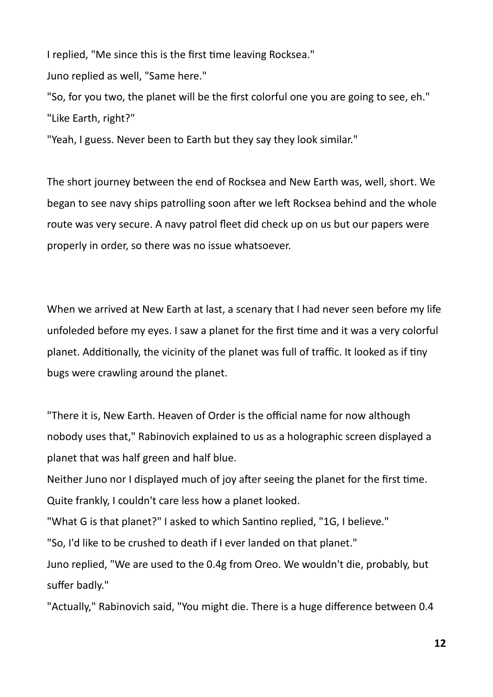I replied, "Me since this is the first time leaving Rocksea."

Juno replied as well, "Same here."

"So, for you two, the planet will be the first colorful one you are going to see, eh." "Like Earth, right?"

"Yeah, I guess. Never been to Earth but they say they look similar."

The short journey between the end of Rocksea and New Earth was, well, short. We began to see navy ships patrolling soon after we left Rocksea behind and the whole route was very secure. A navy patrol fleet did check up on us but our papers were properly in order, so there was no issue whatsoever.

When we arrived at New Earth at last, a scenary that I had never seen before my life unfoleded before my eyes. I saw a planet for the first time and it was a very colorful planet. Additionally, the vicinity of the planet was full of traffic. It looked as if tiny bugs were crawling around the planet.

"There it is, New Earth. Heaven of Order is the official name for now although nobody uses that," Rabinovich explained to us as a holographic screen displayed a planet that was half green and half blue.

Neither Juno nor I displayed much of joy after seeing the planet for the first time. Quite frankly, I couldn't care less how a planet looked.

"What G is that planet?" I asked to which Santino replied, "1G, I believe."

"So, I'd like to be crushed to death if I ever landed on that planet."

Juno replied, "We are used to the 0.4g from Oreo. We wouldn't die, probably, but suffer badly."

"Actually," Rabinovich said, "You might die. There is a huge difference between 0.4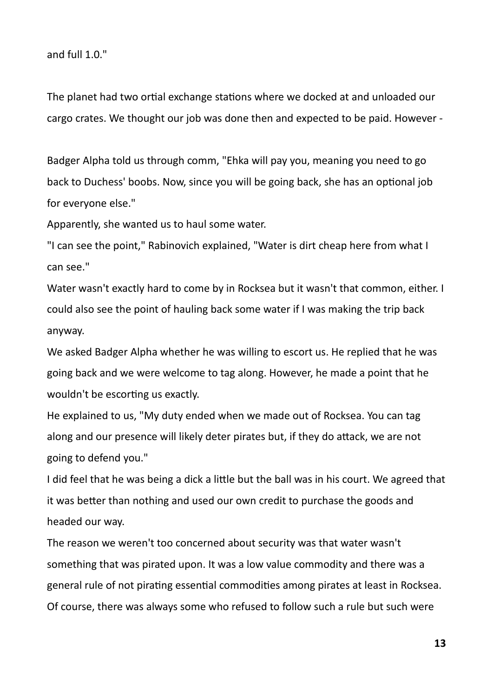and full 1.0."

The planet had two ortial exchange stations where we docked at and unloaded our cargo crates. We thought our job was done then and expected to be paid. However -

Badger Alpha told us through comm, "Ehka will pay you, meaning you need to go back to Duchess' boobs. Now, since you will be going back, she has an optional job for everyone else."

Apparently, she wanted us to haul some water.

"I can see the point," Rabinovich explained, "Water is dirt cheap here from what I can see."

Water wasn't exactly hard to come by in Rocksea but it wasn't that common, either. I could also see the point of hauling back some water if I was making the trip back anyway.

We asked Badger Alpha whether he was willing to escort us. He replied that he was going back and we were welcome to tag along. However, he made a point that he wouldn't be escorting us exactly.

He explained to us, "My duty ended when we made out of Rocksea. You can tag along and our presence will likely deter pirates but, if they do attack, we are not going to defend you."

I did feel that he was being a dick a little but the ball was in his court. We agreed that it was better than nothing and used our own credit to purchase the goods and headed our way.

The reason we weren't too concerned about security was that water wasn't something that was pirated upon. It was a low value commodity and there was a general rule of not pirating essential commodities among pirates at least in Rocksea. Of course, there was always some who refused to follow such a rule but such were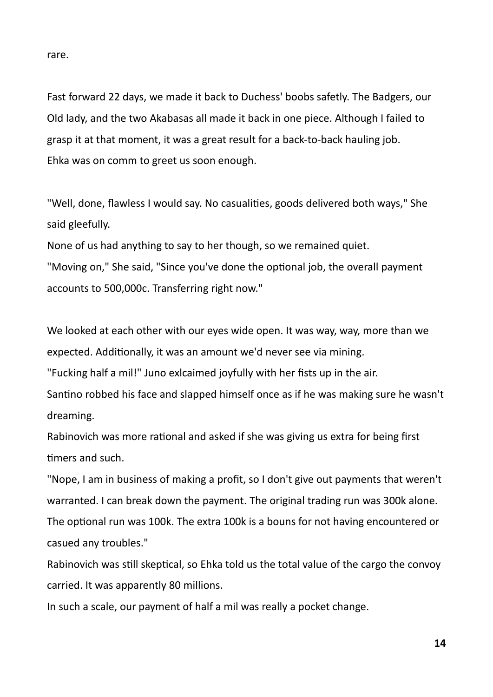rare.

Fast forward 22 days, we made it back to Duchess' boobs safetly. The Badgers, our Old lady, and the two Akabasas all made it back in one piece. Although I failed to grasp it at that moment, it was a great result for a back-to-back hauling job. Ehka was on comm to greet us soon enough.

"Well, done, flawless I would say. No casualities, goods delivered both ways," She said gleefully.

None of us had anything to say to her though, so we remained quiet. "Moving on," She said, "Since you've done the optional job, the overall payment accounts to 500,000c. Transferring right now."

We looked at each other with our eyes wide open. It was way, way, more than we expected. Additionally, it was an amount we'd never see via mining.

"Fucking half a mil!" Juno exlcaimed joyfully with her fists up in the air.

Santino robbed his face and slapped himself once as if he was making sure he wasn't dreaming.

Rabinovich was more rational and asked if she was giving us extra for being first timers and such.

"Nope, I am in business of making a profit, so I don't give out payments that weren't warranted. I can break down the payment. The original trading run was 300k alone. The optional run was 100k. The extra 100k is a bouns for not having encountered or casued any troubles."

Rabinovich was still skeptical, so Ehka told us the total value of the cargo the convoy carried. It was apparently 80 millions.

In such a scale, our payment of half a mil was really a pocket change.